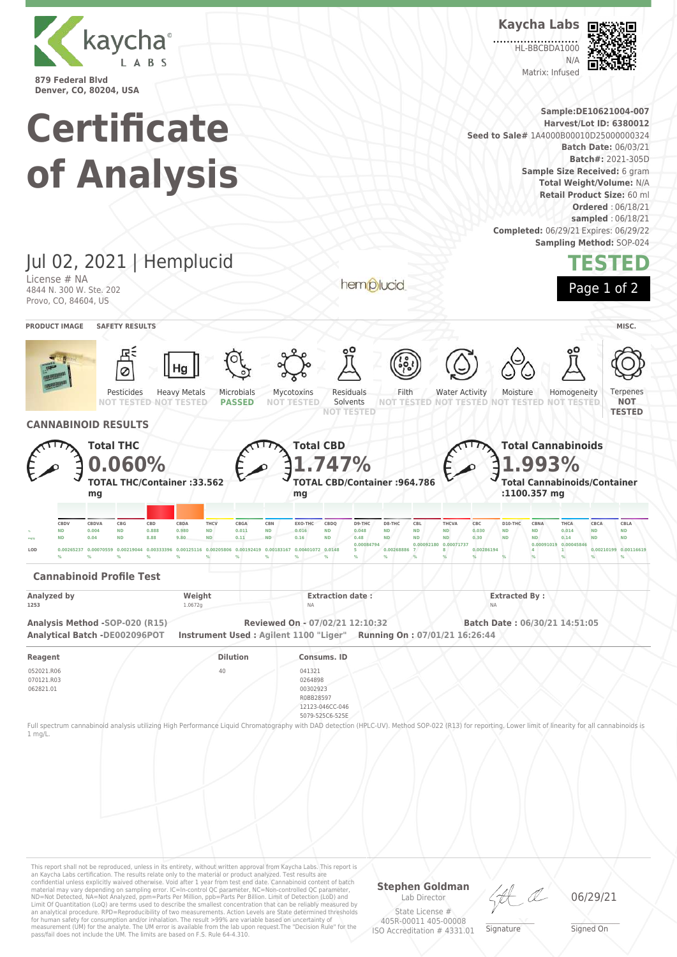

**Kaycha Labs**

HL-BBCBDA1000  $N/L$ 

Matrix: Infused



**Denver, CO, 80204, USA Sample:DE10621004-007 Certificate Harvest/Lot ID: 6380012 Seed to Sale#** 1A4000B00010D25000000324 **Batch Date:** 06/03/21 **Batch#:** 2021-305D **of Analysis Sample Size Received:** 6 gram **Total Weight/Volume:** N/A **Retail Product Size:** 60 ml **Ordered** : 06/18/21 **sampled** : 06/18/21 **Completed:** 06/29/21 Expires: 06/29/22 **Sampling Method:** SOP-024 Jul 02, 2021 | Hemplucid **TESTED** License # NA hemplucid Page 1 of 2 4844 N. 300 W. Ste. 202 Provo, CO, 84604, US **PRODUCT IMAGE SAFETY RESULTS MISC.** Pesticides Heavy Metals Microbials Mycotoxins Residuals Filth Water Activity Moisture Homogeneity Terpenes **PASSED NOT TESTED** Solvents **NOT NOT TESTED NOT TESTED NOT TESTED NOT TESTED NOT TESTED NOT TESTED NOT TESTED TESTED CANNABINOID RESULTS Total THC Total CBD Total Cannabinoids 1.993% 0.060% 1.747% TOTAL THC/Container :33.562 TOTAL CBD/Container :964.786 Total Cannabinoids/Container :1100.357 mg mg mg** CBDV CBDVA CBG CBD CBDA THCV CBGA CBN EXO-THC CBDQ D9-THC D8-THC CBL THCVA CBC D10-THC CBNA THCA CBCA CBL/  $_{\times}$  ND 0.004 ND 0.888 0.980 ND 0.011 ND 0.016 ND 0.048 ND ND ND 0.030 ND ND 0.014 ND ND <sub>ma'e</sub> ND 0.04 ND 8.88 9.80 ND 0.11 ND 0.16 ND 0.48 ND ND ND 0.30 ND ND 0.14 ND ND **0.00084794 0.00092180 0.00071737 0.00091019 0.00045846 LOD 0.00265237 0.00070559 0.00219044 0.00333396 0.00125116 0.00205806 0.00192419 0.00183167 0.00401072 0.0148 5 0.00268886 8 0.00286194 1 0.00210199 0.00116619 7 4 % % % % % % % % % % % % % % % % % % % % Cannabinoid Profile Test Analyzed by Weight Extraction date : Extracted By : 1253** 1.0672g NA NA **Analysis Method -SOP-020 (R15) Reviewed On - 07/02/21 12:10:32 Batch Date : 06/30/21 14:51:05 Analytical Batch -DE002096POT Instrument Used : Agilent 1100 "Liger" Running On : 07/01/21 16:26:44 Reagent Dilution Consums. ID** 052021.R06 40 041321 070121.R03 0264898 062821.01 00302923 R0BB28597 12123-046CC-046 5079-525C6-525E Full spectrum cannabinoid analysis utilizing High Performance Liquid Chromatography with DAD detection (HPLC-UV). Method SOP-022 (R13) for reporting. Lower limit of linearity for all cannabinoids is 1 mg/L.

This report shall not be reproduced, unless in its entirety, without written approval from Kaycha Labs. This report is an Kaycha Labs certification. The results relate only to the material or product analyzed. Test results are<br>confidential unless explicitly waived otherwise. Void after 1 year from test end date. Cannabinoid content of bat Limit Of Quantitation (LoQ) are terms used to describe the smallest concentration that can be reliably measured by an analytical procedure. RPD=Reproducibility of two measurements. Action Levels are State determined thresholds for human safety for consumption and/or inhalation. The result >99% are variable based on uncertainty of measurement (UM) for the analyte. The UM error is available from the lab upon request.The "Decision Rule" for the pass/fail does not include the UM. The limits are based on F.S. Rule 64-4.310.

**Stephen Goldman**

Lab Director State License # 405R-00011 405-00008 ISO Accreditation # 4331.01

\_\_\_\_\_\_\_\_\_\_\_\_\_\_\_\_\_\_\_ Signature

06/29/21

\_\_\_\_\_\_\_\_\_\_\_\_\_\_\_\_\_\_\_ Signed On